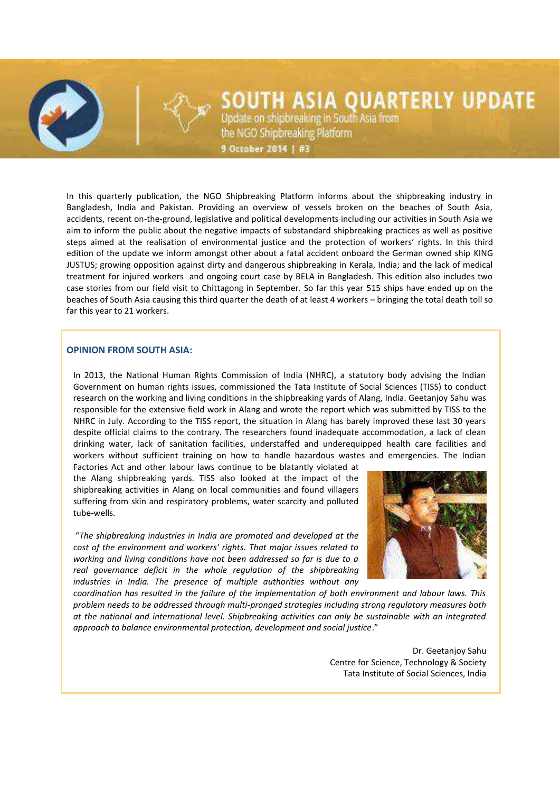# SOUTH ASIA QUARTERLY UPDATE

Update on shipbreaking in South Asia from the NGO Shipbreaking Platform

9 October 2014 | #3

In this quarterly publication, the NGO Shipbreaking Platform informs about the shipbreaking industry in Bangladesh, India and Pakistan. Providing an overview of vessels broken on the beaches of South Asia, accidents, recent on-the-ground, legislative and political developments including our activities in South Asia we aim to inform the public about the negative impacts of substandard shipbreaking practices as well as positive steps aimed at the realisation of environmental justice and the protection of workers' rights. In this third edition of the update we inform amongst other about a fatal accident onboard the German owned ship KING JUSTUS; growing opposition against dirty and dangerous shipbreaking in Kerala, India; and the lack of medical treatment for injured workers and ongoing court case by BELA in Bangladesh. This edition also includes two case stories from our field visit to Chittagong in September. So far this year 515 ships have ended up on the beaches of South Asia causing this third quarter the death of at least 4 workers – bringing the total death toll so far this year to 21 workers.

## **OPINION FROM SOUTH ASIA:**

In 2013, the National Human Rights Commission of India (NHRC), a statutory body advising the Indian Government on human rights issues, commissioned the Tata Institute of Social Sciences (TISS) to conduct research on the working and living conditions in the shipbreaking yards of Alang, India. Geetanjoy Sahu was responsible for the extensive field work in Alang and wrote the report which was submitted by TISS to the NHRC in July. According to the TISS report, the situation in Alang has barely improved these last 30 years despite official claims to the contrary. The researchers found inadequate accommodation, a lack of clean drinking water, lack of sanitation facilities, understaffed and underequipped health care facilities and workers without sufficient training on how to handle hazardous wastes and emergencies. The Indian

Factories Act and other labour laws continue to be blatantly violated at the Alang shipbreaking yards. TISS also looked at the impact of the shipbreaking activities in Alang on local communities and found villagers suffering from skin and respiratory problems, water scarcity and polluted tube-wells.

"*The shipbreaking industries in India are promoted and developed at the cost of the environment and workers' rights. That major issues related to working and living conditions have not been addressed so far is due to a*  real governance deficit in the whole regulation of the shipbreaking *industries in India. The presence of multiple authorities without any* 



*coordination has resulted in the failure of the implementation of both environment and labour laws. This problem needs to be addressed through multi-pronged strategies including strong regulatory measures both at the national and international level. Shipbreaking activities can only be sustainable with an integrated approach to balance environmental protection, development and social justice*."

> Dr. Geetanjoy Sahu Centre for Science, Technology & Society Tata Institute of Social Sciences, India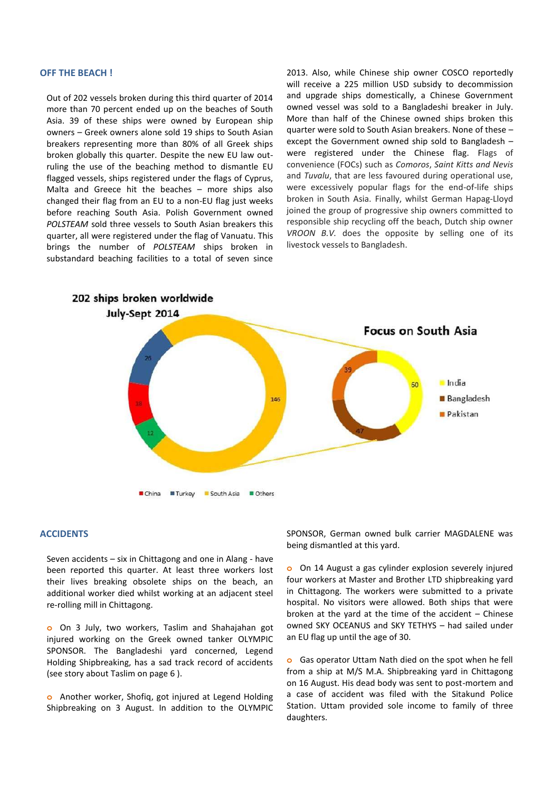#### **OFF THE BEACH !**

Out of 202 vessels broken during this third quarter of 2014 more than 70 percent ended up on the beaches of South Asia. 39 of these ships were owned by European ship owners – Greek owners alone sold 19 ships to South Asian breakers representing more than 80% of all Greek ships broken globally this quarter. Despite the new EU law outruling the use of the beaching method to dismantle EU flagged vessels, ships registered under the flags of Cyprus, Malta and Greece hit the beaches – more ships also changed their flag from an EU to a non-EU flag just weeks before reaching South Asia. Polish Government owned *POLSTEAM* sold three vessels to South Asian breakers this quarter, all were registered under the flag of Vanuatu. This brings the number of *POLSTEAM* ships broken in substandard beaching facilities to a total of seven since 2013. Also, while Chinese ship owner COSCO reportedly will receive a 225 million USD subsidy to decommission and upgrade ships domestically, a Chinese Government owned vessel was sold to a Bangladeshi breaker in July. More than half of the Chinese owned ships broken this quarter were sold to South Asian breakers. None of these – except the Government owned ship sold to Bangladesh – were registered under the Chinese flag. Flags of convenience (FOCs) such as *Comoros*, *Saint Kitts and Nevis* and *Tuvalu*, that are less favoured during operational use, were excessively popular flags for the end-of-life ships broken in South Asia. Finally, whilst German Hapag-Lloyd joined the group of progressive ship owners committed to responsible ship recycling off the beach, Dutch ship owner *VROON B.V.* does the opposite by selling one of its livestock vessels to Bangladesh.



#### **ACCIDENTS**

Seven accidents – six in Chittagong and one in Alang - have been reported this quarter. At least three workers lost their lives breaking obsolete ships on the beach, an additional worker died whilst working at an adjacent steel re-rolling mill in Chittagong.

**o** On 3 July, two workers, Taslim and Shahajahan got injured working on the Greek owned tanker OLYMPIC SPONSOR. The Bangladeshi yard concerned, Legend Holding Shipbreaking, has a sad track record of accidents (see story about Taslim on page 6 ).

**o** Another worker, Shofiq, got injured at Legend Holding Shipbreaking on 3 August. In addition to the OLYMPIC SPONSOR, German owned bulk carrier MAGDALENE was being dismantled at this yard.

**o** On 14 August a gas cylinder explosion severely injured four workers at Master and Brother LTD shipbreaking yard in Chittagong. The workers were submitted to a private hospital. No visitors were allowed. Both ships that were broken at the yard at the time of the accident – Chinese owned SKY OCEANUS and SKY TETHYS – had sailed under an EU flag up until the age of 30.

**o** Gas operator Uttam Nath died on the spot when he fell from a ship at M/S M.A. Shipbreaking yard in Chittagong on 16 August. His dead body was sent to post-mortem and a case of accident was filed with the Sitakund Police Station. Uttam provided sole income to family of three daughters.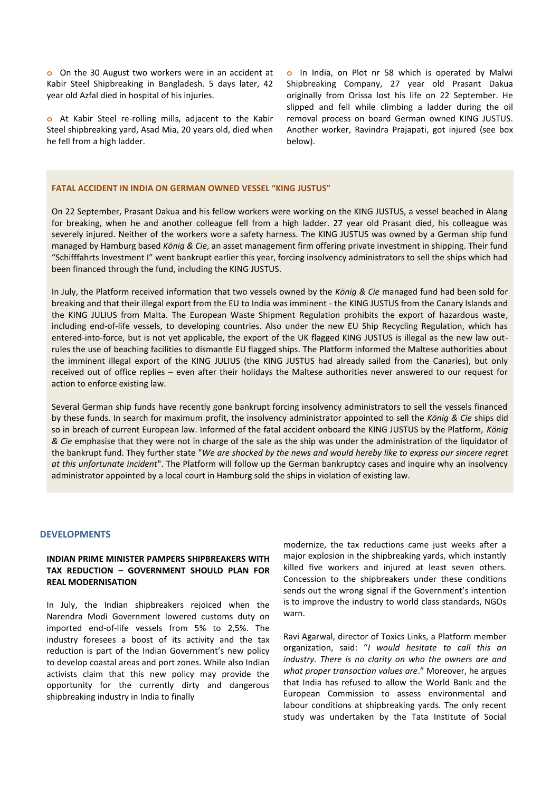**o** On the 30 August two workers were in an accident at Kabir Steel Shipbreaking in Bangladesh. 5 days later, 42 year old Azfal died in hospital of his injuries.

**o** At Kabir Steel re-rolling mills, adjacent to the Kabir Steel shipbreaking yard, Asad Mia, 20 years old, died when he fell from a high ladder.

**o** In India, on Plot nr 58 which is operated by Malwi Shipbreaking Company, 27 year old Prasant Dakua originally from Orissa lost his life on 22 September. He slipped and fell while climbing a ladder during the oil removal process on board German owned KING JUSTUS. Another worker, Ravindra Prajapati, got injured (see box below).

#### **FATAL ACCIDENT IN INDIA ON GERMAN OWNED VESSEL "KING JUSTUS"**

On 22 September, Prasant Dakua and his fellow workers were working on the KING JUSTUS, a vessel beached in Alang for breaking, when he and another colleague fell from a high ladder. 27 year old Prasant died, his colleague was severely injured. Neither of the workers wore a safety harness. The KING JUSTUS was owned by a German ship fund managed by Hamburg based *König & Cie*, an asset management firm offering private investment in shipping. Their fund "Schifffahrts Investment I" went bankrupt earlier this year, forcing insolvency administrators to sell the ships which had been financed through the fund, including the KING JUSTUS.

In July, the Platform received information that two vessels owned by the *König & Cie* managed fund had been sold for breaking and that their illegal export from the EU to India was imminent - the KING JUSTUS from the Canary Islands and the KING JULIUS from Malta. The European Waste Shipment Regulation prohibits the export of hazardous waste, including end-of-life vessels, to developing countries. Also under the new EU Ship Recycling Regulation, which has entered-into-force, but is not yet applicable, the export of the UK flagged KING JUSTUS is illegal as the new law outrules the use of beaching facilities to dismantle EU flagged ships. The Platform informed the Maltese authorities about the imminent illegal export of the KING JULIUS (the KING JUSTUS had already sailed from the Canaries), but only received out of office replies – even after their holidays the Maltese authorities never answered to our request for action to enforce existing law.

Several German ship funds have recently gone bankrupt forcing insolvency administrators to sell the vessels financed by these funds. In search for maximum profit, the insolvency administrator appointed to sell the *König & Cie* ships did so in breach of current European law. Informed of the fatal accident onboard the KING JUSTUS by the Platform, *König & Cie* emphasise that they were not in charge of the sale as the ship was under the administration of the liquidator of the bankrupt fund. They further state "*We are shocked by the news and would hereby like to express our sincere regret at this unfortunate incident*". The Platform will follow up the German bankruptcy cases and inquire why an insolvency administrator appointed by a local court in Hamburg sold the ships in violation of existing law.

## **DEVELOPMENTS**

# **INDIAN PRIME MINISTER PAMPERS SHIPBREAKERS WITH TAX REDUCTION – GOVERNMENT SHOULD PLAN FOR REAL MODERNISATION**

In July, the Indian shipbreakers rejoiced when the Narendra Modi Government lowered customs duty on imported end-of-life vessels from 5% to 2,5%. The industry foresees a boost of its activity and the tax reduction is part of the Indian Government's new policy to develop coastal areas and port zones. While also Indian activists claim that this new policy may provide the opportunity for the currently dirty and dangerous shipbreaking industry in India to finally

modernize, the tax reductions came just weeks after a major explosion in the shipbreaking yards, which instantly killed five workers and injured at least seven others. Concession to the shipbreakers under these conditions sends out the wrong signal if the Government's intention is to improve the industry to world class standards, NGOs warn.

Ravi Agarwal, director of Toxics Links, a Platform member organization, said: "*I would hesitate to call this an industry. There is no clarity on who the owners are and what proper transaction values are*." Moreover, he argues that India has refused to allow the World Bank and the European Commission to assess environmental and labour conditions at shipbreaking yards. The only recent study was undertaken by the Tata Institute of Social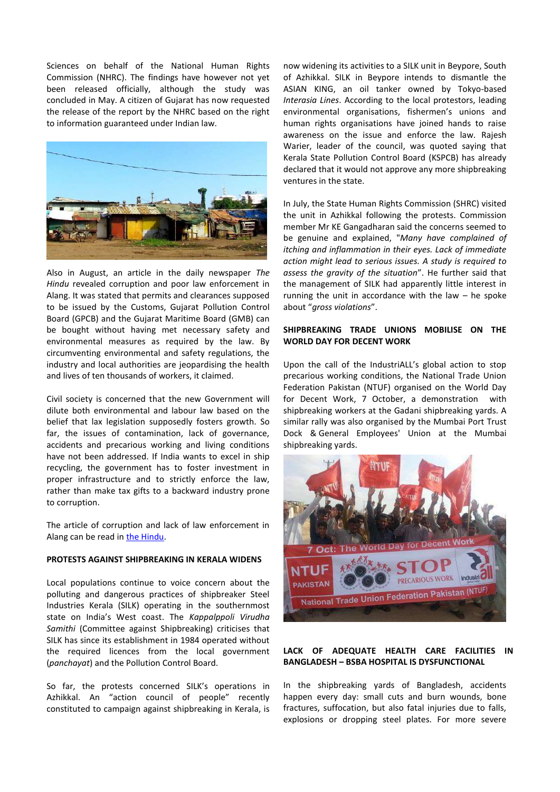Sciences on behalf of the National Human Rights Commission (NHRC). The findings have however not yet been released officially, although the study was concluded in May. A citizen of Gujarat has now requested the release of the report by the NHRC based on the right to information guaranteed under Indian law.



Also in August, an article in the daily newspaper *The Hindu* revealed corruption and poor law enforcement in Alang. It was stated that permits and clearances supposed to be issued by the Customs, Gujarat Pollution Control Board (GPCB) and the Gujarat Maritime Board (GMB) can be bought without having met necessary safety and environmental measures as required by the law. By circumventing environmental and safety regulations, the industry and local authorities are jeopardising the health and lives of ten thousands of workers, it claimed.

Civil society is concerned that the new Government will dilute both environmental and labour law based on the belief that lax legislation supposedly fosters growth. So far, the issues of contamination, lack of governance, accidents and precarious working and living conditions have not been addressed. If India wants to excel in ship recycling, the government has to foster investment in proper infrastructure and to strictly enforce the law, rather than make tax gifts to a backward industry prone to corruption.

The article of corruption and lack of law enforcement in Alang can be read in the Hindu.

# **PROTESTS AGAINST SHIPBREAKING IN KERALA WIDENS**

Local populations continue to voice concern about the polluting and dangerous practices of shipbreaker Steel Industries Kerala (SILK) operating in the southernmost state on India's West coast. The *Kappalppoli Virudha Samithi* (Committee against Shipbreaking) criticises that SILK has since its establishment in 1984 operated without the required licences from the local government (*panchayat*) and the Pollution Control Board.

So far, the protests concerned SILK's operations in Azhikkal. An "action council of people" recently constituted to campaign against shipbreaking in Kerala, is now widening its activities to a SILK unit in Beypore, South of Azhikkal. SILK in Beypore intends to dismantle the ASIAN KING, an oil tanker owned by Tokyo-based *Interasia Lines*. According to the local protestors, leading environmental organisations, fishermen's unions and human rights organisations have joined hands to raise awareness on the issue and enforce the law. Rajesh Warier, leader of the council, was quoted saying that Kerala State Pollution Control Board (KSPCB) has already declared that it would not approve any more shipbreaking ventures in the state.

In July, the State Human Rights Commission (SHRC) visited the unit in Azhikkal following the protests. Commission member Mr KE Gangadharan said the concerns seemed to be genuine and explained, "*Many have complained of itching and inflammation in their eyes. Lack of immediate action might lead to serious issues. A study is required to assess the gravity of the situation*". He further said that the management of SILK had apparently little interest in running the unit in accordance with the law  $-$  he spoke about "*gross violations*".

# **SHIPBREAKING TRADE UNIONS MOBILISE ON THE WORLD DAY FOR DECENT WORK**

Upon the call of the IndustriALL's global action to stop precarious working conditions, the National Trade Union Federation Pakistan (NTUF) organised on the World Day for Decent Work, 7 October, a demonstration with shipbreaking workers at the Gadani shipbreaking yards. A similar rally was also organised by the Mumbai Port Trust Dock & General Employees' Union at the Mumbai shipbreaking yards.



# **LACK OF ADEQUATE HEALTH CARE FACILITIES IN BANGLADESH – BSBA HOSPITAL IS DYSFUNCTIONAL**

In the shipbreaking yards of Bangladesh, accidents happen every day: small cuts and burn wounds, bone fractures, suffocation, but also fatal injuries due to falls, explosions or dropping steel plates. For more severe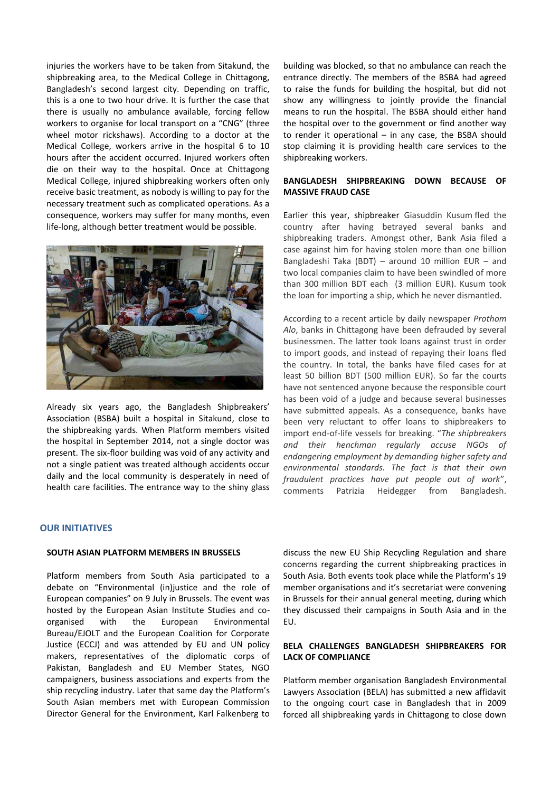injuries the workers have to be taken from Sitakund, the shipbreaking area, to the Medical College in Chittagong, Bangladesh's second largest city. Depending on traffic, this is a one to two hour drive. It is further the case that there is usually no ambulance available, forcing fellow workers to organise for local transport on a "CNG" (three wheel motor rickshaws). According to a doctor at the Medical College, workers arrive in the hospital 6 to 10 hours after the accident occurred. Injured workers often die on their way to the hospital. Once at Chittagong Medical College, injured shipbreaking workers often only receive basic treatment, as nobody is willing to pay for the necessary treatment such as complicated operations. As a consequence, workers may suffer for many months, even life-long, although better treatment would be possible.



Already six years ago, the Bangladesh Shipbreakers' Association (BSBA) built a hospital in Sitakund, close to the shipbreaking yards. When Platform members visited the hospital in September 2014, not a single doctor was present. The six-floor building was void of any activity and not a single patient was treated although accidents occur daily and the local community is desperately in need of health care facilities. The entrance way to the shiny glass

# building was blocked, so that no ambulance can reach the entrance directly. The members of the BSBA had agreed to raise the funds for building the hospital, but did not show any willingness to jointly provide the financial means to run the hospital. The BSBA should either hand the hospital over to the government or find another way to render it operational – in any case, the BSBA should stop claiming it is providing health care services to the shipbreaking workers.

## **BANGLADESH SHIPBREAKING DOWN BECAUSE OF MASSIVE FRAUD CASE**

Earlier this year, shipbreaker Giasuddin Kusum fled the country after having betrayed several banks and shipbreaking traders. Amongst other, Bank Asia filed a case against him for having stolen more than one billion Bangladeshi Taka (BDT) – around 10 million EUR – and two local companies claim to have been swindled of more than 300 million BDT each (3 million EUR). Kusum took the loan for importing a ship, which he never dismantled.

According to a recent article by daily newspaper *Prothom Alo*, banks in Chittagong have been defrauded by several businessmen. The latter took loans against trust in order to import goods, and instead of repaying their loans fled the country. In total, the banks have filed cases for at least 50 billion BDT (500 million EUR). So far the courts have not sentenced anyone because the responsible court has been void of a judge and because several businesses have submitted appeals. As a consequence, banks have been very reluctant to offer loans to shipbreakers to import end-of-life vessels for breaking. "*The shipbreakers and their henchman regularly accuse NGOs of endangering employment by demanding higher safety and environmental standards. The fact is that their own fraudulent practices have put people out of work*", comments Patrizia Heidegger from Bangladesh.

# **OUR INITIATIVES**

## **SOUTH ASIAN PLATFORM MEMBERS IN BRUSSELS**

Platform members from South Asia participated to a debate on "Environmental (in)justice and the role of European companies" on 9 July in Brussels. The event was hosted by the European Asian Institute Studies and coorganised with the European Environmental Bureau/EJOLT and the European Coalition for Corporate Justice (ECCJ) and was attended by EU and UN policy makers, representatives of the diplomatic corps of Pakistan, Bangladesh and EU Member States, NGO campaigners, business associations and experts from the ship recycling industry. Later that same day the Platform's South Asian members met with European Commission Director General for the Environment, Karl Falkenberg to

discuss the new EU Ship Recycling Regulation and share concerns regarding the current shipbreaking practices in South Asia. Both events took place while the Platform's 19 member organisations and it's secretariat were convening in Brussels for their annual general meeting, during which they discussed their campaigns in South Asia and in the EU.

# **BELA CHALLENGES BANGLADESH SHIPBREAKERS FOR LACK OF COMPLIANCE**

Platform member organisation Bangladesh Environmental Lawyers Association (BELA) has submitted a new affidavit to the ongoing court case in Bangladesh that in 2009 forced all shipbreaking yards in Chittagong to close down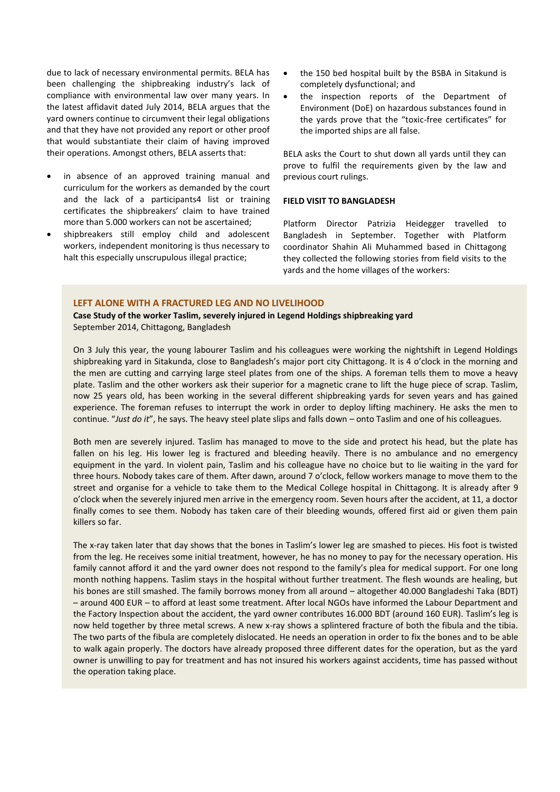due to lack of necessary environmental permits. BELA has been challenging the shipbreaking industry's lack of compliance with environmental law over many years. In the latest affidavit dated July 2014, BELA argues that the yard owners continue to circumvent their legal obligations and that they have not provided any report or other proof that would substantiate their claim of having improved their operations. Amongst others, BELA asserts that:

- in absence of an approved training manual and curriculum for the workers as demanded by the court and the lack of a participants4 list or training certificates the shipbreakers' claim to have trained more than 5.000 workers can not be ascertained;
- shipbreakers still employ child and adolescent workers, independent monitoring is thus necessary to halt this especially unscrupulous illegal practice;
- the 150 bed hospital built by the BSBA in Sitakund is completely dysfunctional; and
- the inspection reports of the Department of Environment (DoE) on hazardous substances found in the yards prove that the "toxic-free certificates" for the imported ships are all false.

BELA asks the Court to shut down all yards until they can prove to fulfil the requirements given by the law and previous court rulings.

# **FIELD VISIT TO BANGLADESH**

Platform Director Patrizia Heidegger travelled to Bangladesh in September. Together with Platform coordinator Shahin Ali Muhammed based in Chittagong they collected the following stories from field visits to the yards and the home villages of the workers:

## **LEFT ALONE WITH A FRACTURED LEG AND NO LIVELIHOOD**

**Case Study of the worker Taslim, severely injured in Legend Holdings shipbreaking yard** September 2014, Chittagong, Bangladesh

On 3 July this year, the young labourer Taslim and his colleagues were working the nightshift in Legend Holdings shipbreaking yard in Sitakunda, close to Bangladesh's major port city Chittagong. It is 4 o'clock in the morning and the men are cutting and carrying large steel plates from one of the ships. A foreman tells them to move a heavy plate. Taslim and the other workers ask their superior for a magnetic crane to lift the huge piece of scrap. Taslim, now 25 years old, has been working in the several different shipbreaking yards for seven years and has gained experience. The foreman refuses to interrupt the work in order to deploy lifting machinery. He asks the men to continue. "*Just do it*", he says. The heavy steel plate slips and falls down – onto Taslim and one of his colleagues.

Both men are severely injured. Taslim has managed to move to the side and protect his head, but the plate has fallen on his leg. His lower leg is fractured and bleeding heavily. There is no ambulance and no emergency equipment in the yard. In violent pain, Taslim and his colleague have no choice but to lie waiting in the yard for three hours. Nobody takes care of them. After dawn, around 7 o'clock, fellow workers manage to move them to the street and organise for a vehicle to take them to the Medical College hospital in Chittagong. It is already after 9 o'clock when the severely injured men arrive in the emergency room. Seven hours after the accident, at 11, a doctor finally comes to see them. Nobody has taken care of their bleeding wounds, offered first aid or given them pain killers so far.

The x-ray taken later that day shows that the bones in Taslim's lower leg are smashed to pieces. His foot is twisted from the leg. He receives some initial treatment, however, he has no money to pay for the necessary operation. His family cannot afford it and the yard owner does not respond to the family's plea for medical support. For one long month nothing happens. Taslim stays in the hospital without further treatment. The flesh wounds are healing, but his bones are still smashed. The family borrows money from all around – altogether 40.000 Bangladeshi Taka (BDT) – around 400 EUR – to afford at least some treatment. After local NGOs have informed the Labour Department and the Factory Inspection about the accident, the yard owner contributes 16.000 BDT (around 160 EUR). Taslim's leg is now held together by three metal screws. A new x-ray shows a splintered fracture of both the fibula and the tibia. The two parts of the fibula are completely dislocated. He needs an operation in order to fix the bones and to be able to walk again properly. The doctors have already proposed three different dates for the operation, but as the yard owner is unwilling to pay for treatment and has not insured his workers against accidents, time has passed without the operation taking place.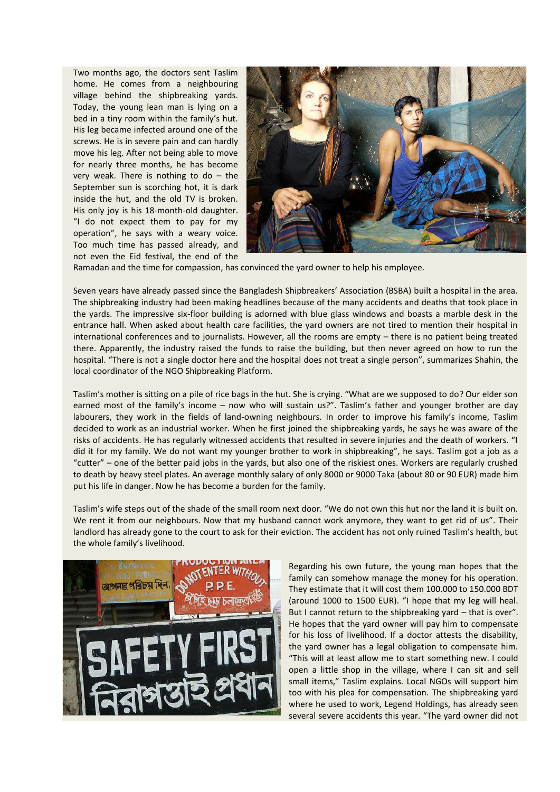Two months ago, the doctors sent Taslim home. He comes from a neighbouring village behind the shipbreaking yards. Today, the young lean man is lying on a bed in a tiny room within the family's hut. His leg became infected around one of the screws. He is in severe pain and can hardly move his leg. After not being able to move for nearly three months, he has become very weak. There is nothing to do  $-$  the September sun is scorching hot, it is dark inside the hut, and the old TV is broken. His only joy is his 18-month-old daughter. "I do not expect them to pay for my operation", he says with a weary voice. Too much time has passed already, and not even the Eid festival, the end of the



Ramadan and the time for compassion, has convinced the yard owner to help his employee.

Seven years have already passed since the Bangladesh Shipbreakers' Association (BSBA) built a hospital in the area. The shipbreaking industry had been making headlines because of the many accidents and deaths that took place in the yards. The impressive six-floor building is adorned with blue glass windows and boasts a marble desk in the entrance hall. When asked about health care facilities, the yard owners are not tired to mention their hospital in international conferences and to journalists. However, all the rooms are empty – there is no patient being treated there. Apparently, the industry raised the funds to raise the building, but then never agreed on how to run the hospital. "There is not a single doctor here and the hospital does not treat a single person", summarizes Shahin, the local coordinator of the NGO Shipbreaking Platform.

Taslim's mother is sitting on a pile of rice bags in the hut. She is crying. "What are we supposed to do? Our elder son earned most of the family's income – now who will sustain us?". Taslim's father and younger brother are day labourers, they work in the fields of land-owning neighbours. In order to improve his family's income, Taslim decided to work as an industrial worker. When he first joined the shipbreaking yards, he says he was aware of the risks of accidents. He has regularly witnessed accidents that resulted in severe injuries and the death of workers. "I did it for my family. We do not want my younger brother to work in shipbreaking", he says. Taslim got a job as a "cutter" – one of the better paid jobs in the yards, but also one of the riskiest ones. Workers are regularly crushed to death by heavy steel plates. An average monthly salary of only 8000 or 9000 Taka (about 80 or 90 EUR) made him put his life in danger. Now he has become a burden for the family.

Taslim's wife steps out of the shade of the small room next door. "We do not own this hut nor the land it is built on. We rent it from our neighbours. Now that my husband cannot work anymore, they want to get rid of us". Their landlord has already gone to the court to ask for their eviction. The accident has not only ruined Taslim's health, but the whole family's livelihood.



Regarding his own future, the young man hopes that the family can somehow manage the money for his operation. They estimate that it will cost them 100.000 to 150.000 BDT (around 1000 to 1500 EUR). "I hope that my leg will heal. But I cannot return to the shipbreaking yard – that is over". He hopes that the yard owner will pay him to compensate for his loss of livelihood. If a doctor attests the disability, the yard owner has a legal obligation to compensate him. "This will at least allow me to start something new. I could open a little shop in the village, where I can sit and sell small items," Taslim explains. Local NGOs will support him too with his plea for compensation. The shipbreaking yard where he used to work, Legend Holdings, has already seen several severe accidents this year. "The yard owner did not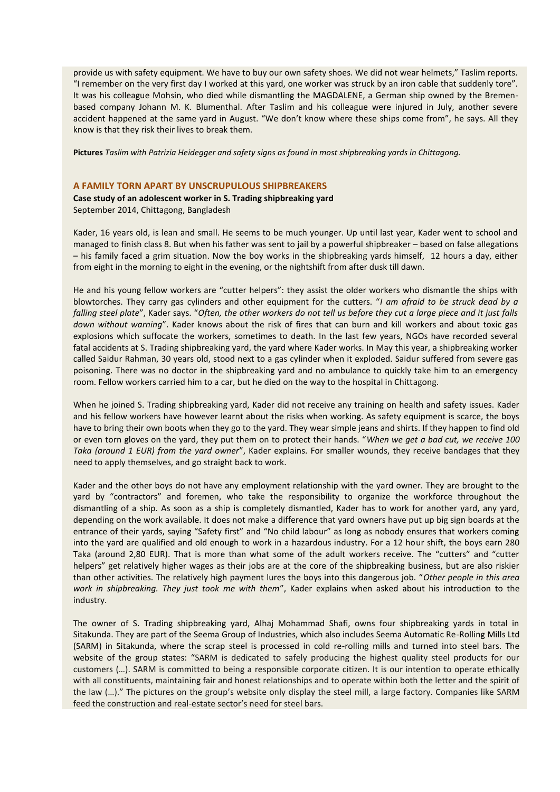provide us with safety equipment. We have to buy our own safety shoes. We did not wear helmets," Taslim reports. "I remember on the very first day I worked at this yard, one worker was struck by an iron cable that suddenly tore". It was his colleague Mohsin, who died while dismantling the MAGDALENE, a German ship owned by the Bremenbased company Johann M. K. Blumenthal. After Taslim and his colleague were injured in July, another severe accident happened at the same yard in August. "We don't know where these ships come from", he says. All they know is that they risk their lives to break them.

**Pictures** *Taslim with Patrizia Heidegger and safety signs as found in most shipbreaking yards in Chittagong.*

## **A FAMILY TORN APART BY UNSCRUPULOUS SHIPBREAKERS**

## **Case study of an adolescent worker in S. Trading shipbreaking yard** September 2014, Chittagong, Bangladesh

Kader, 16 years old, is lean and small. He seems to be much younger. Up until last year, Kader went to school and managed to finish class 8. But when his father was sent to jail by a powerful shipbreaker – based on false allegations – his family faced a grim situation. Now the boy works in the shipbreaking yards himself, 12 hours a day, either from eight in the morning to eight in the evening, or the nightshift from after dusk till dawn.

He and his young fellow workers are "cutter helpers": they assist the older workers who dismantle the ships with blowtorches. They carry gas cylinders and other equipment for the cutters. "*I am afraid to be struck dead by a falling steel plate*", Kader says. "*Often, the other workers do not tell us before they cut a large piece and it just falls down without warning*". Kader knows about the risk of fires that can burn and kill workers and about toxic gas explosions which suffocate the workers, sometimes to death. In the last few years, NGOs have recorded several fatal accidents at S. Trading shipbreaking yard, the yard where Kader works. In May this year, a shipbreaking worker called Saidur Rahman, 30 years old, stood next to a gas cylinder when it exploded. Saidur suffered from severe gas poisoning. There was no doctor in the shipbreaking yard and no ambulance to quickly take him to an emergency room. Fellow workers carried him to a car, but he died on the way to the hospital in Chittagong.

When he joined S. Trading shipbreaking yard, Kader did not receive any training on health and safety issues. Kader and his fellow workers have however learnt about the risks when working. As safety equipment is scarce, the boys have to bring their own boots when they go to the yard. They wear simple jeans and shirts. If they happen to find old or even torn gloves on the yard, they put them on to protect their hands. "*When we get a bad cut, we receive 100 Taka (around 1 EUR) from the yard owner*", Kader explains. For smaller wounds, they receive bandages that they need to apply themselves, and go straight back to work.

Kader and the other boys do not have any employment relationship with the yard owner. They are brought to the yard by "contractors" and foremen, who take the responsibility to organize the workforce throughout the dismantling of a ship. As soon as a ship is completely dismantled, Kader has to work for another yard, any yard, depending on the work available. It does not make a difference that yard owners have put up big sign boards at the entrance of their yards, saying "Safety first" and "No child labour" as long as nobody ensures that workers coming into the yard are qualified and old enough to work in a hazardous industry. For a 12 hour shift, the boys earn 280 Taka (around 2,80 EUR). That is more than what some of the adult workers receive. The "cutters" and "cutter helpers" get relatively higher wages as their jobs are at the core of the shipbreaking business, but are also riskier than other activities. The relatively high payment lures the boys into this dangerous job. "*Other people in this area work in shipbreaking. They just took me with them*", Kader explains when asked about his introduction to the industry.

The owner of S. Trading shipbreaking yard, Alhaj Mohammad Shafi, owns four shipbreaking yards in total in Sitakunda. They are part of the Seema Group of Industries, which also includes Seema Automatic Re-Rolling Mills Ltd (SARM) in Sitakunda, where the scrap steel is processed in cold re-rolling mills and turned into steel bars. The website of the group states: "SARM is dedicated to safely producing the highest quality steel products for our customers (…). SARM is committed to being a responsible corporate citizen. It is our intention to operate ethically with all constituents, maintaining fair and honest relationships and to operate within both the letter and the spirit of the law (…)." The pictures on the group's website only display the steel mill, a large factory. Companies like SARM feed the construction and real-estate sector's need for steel bars.